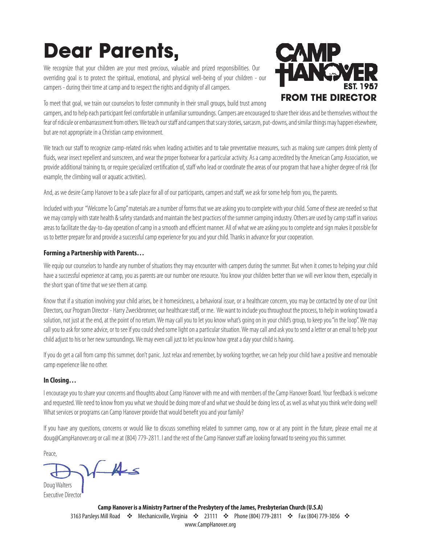# **Dear Parents,**

We recognize that your children are your most precious, valuable and prized responsibilities. Our overriding goal is to protect the spiritual, emotional, and physical well-being of your children - our campers - during their time at camp and to respect the rights and dignity of all campers.



To meet that goal, we train our counselors to foster community in their small groups, build trust among

campers, and to help each participant feel comfortable in unfamiliar surroundings. Campers are encouraged to share their ideas and be themselves without the fear of ridicule or embarrassment from others. We teach our staff and campers that scary stories, sarcasm, put-downs, and similar things may happen elsewhere, but are not appropriate in a Christian camp environment.

We teach our staff to recognize camp-related risks when leading activities and to take preventative measures, such as making sure campers drink plenty of fluids, wear insect repellent and sunscreen, and wear the proper footwear for a particular activity. As a camp accredited by the American Camp Association, we provide additional training to, or require specialized certification of, staff who lead or coordinate the areas of our program that have a higher degree of risk (for example, the climbing wall or aquatic activities).

And, as we desire Camp Hanover to be a safe place for all of our participants, campers and staff, we ask for some help from you, the parents.

Included with your "Welcome To Camp" materials are a number of forms that we are asking you to complete with your child. Some of these are needed so that we may comply with state health & safety standards and maintain the best practices of the summer camping industry. Others are used by camp staff in various areas to facilitate the day-to-day operation of camp in a smooth and efficient manner. All of what we are asking you to complete and sign makes it possible for us to better prepare for and provide a successful camp experience for you and your child. Thanks in advance for your cooperation.

#### **Forming a Partnership with Parents…**

We equip our counselors to handle any number of situations they may encounter with campers during the summer. But when it comes to helping your child have a successful experience at camp, you as parents are our number one resource. You know your children better than we will ever know them, especially in the short span of time that we see them at camp.

Know that if a situation involving your child arises, be it homesickness, a behavioral issue, or a healthcare concern, you may be contacted by one of our Unit Directors, our Program Director - Harry Zweckbronner, our healthcare staff, or me. We want to include you throughout the process, to help in working toward a solution, not just at the end, at the point of no return. We may call you to let you know what's going on in your child's group, to keep you "in the loop". We may call you to ask for some advice, or to see if you could shed some light on a particular situation. We may call and ask you to send a letter or an email to help your child adjust to his or her new surroundings. We may even call just to let you know how great a day your child is having.

If you do get a call from camp this summer, don't panic. Just relax and remember, by working together, we can help your child have a positive and memorable camp experience like no other.

#### **In Closing…**

I encourage you to share your concerns and thoughts about Camp Hanover with me and with members of the Camp Hanover Board. Your feedback is welcome and requested. We need to know from you what we should be doing more of and what we should be doing less of, as well as what you think we're doing well! What services or programs can Camp Hanover provide that would benefit you and your family?

If you have any questions, concerns or would like to discuss something related to summer camp, now or at any point in the future, please email me at doug@CampHanover.org or call me at (804) 779-2811. I and the rest of the Camp Hanover staff are looking forward to seeing you this summer.

Peace,

 $\sqrt{\mathcal{A}}$ 

Doug Walters Executive Director

> **Camp Hanover is a Ministry Partner of the Presbytery of the James, Presbyterian Church (U.S.A)** 3163 Parsleys Mill Road  $\cdot$  Mechanicsville, Virginia  $\cdot$  23111  $\cdot$  Phone (804) 779-2811  $\cdot$  Fax (804) 779-3056  $\cdot$ www.CampHanover.org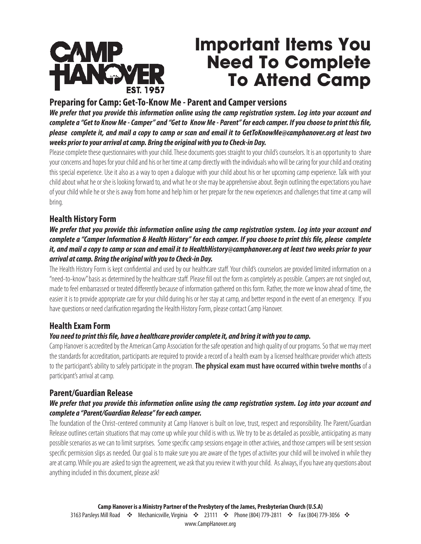

# **Important Items You Need To Complete To Attend Camp**

#### **Preparing for Camp: Get-To-Know Me - Parent and Camper versions**

*We prefer that you provide this information online using the camp registration system. Log into your account and complete a "Get to Know Me - Camper" and "Get to Know Me - Parent" for each camper. If you choose to print this file, please complete it, and mail a copy to camp or scan and email it to GetToKnowMe@camphanover.org at least two weeks prior to your arrival at camp. Bring the original with you to Check-in Day.* 

Please complete these questionnaires with your child. These documents goes straight to your child's counselors. It is an opportunity to share your concerns and hopes for your child and his or her time at camp directly with the individuals who will be caring for your child and creating this special experience. Use it also as a way to open a dialogue with your child about his or her upcoming camp experience. Talk with your child about what he or she is looking forward to, and what he or she may be apprehensive about. Begin outlining the expectations you have of your child while he or she is away from home and help him or her prepare for the new experiences and challenges that time at camp will bring.

#### **Health History Form**

#### *We prefer that you provide this information online using the camp registration system. Log into your account and complete a "Camper Information & Health History" for each camper. If you choose to print this file, please complete it, and mail a copy to camp or scan and email it to HealthHistory@camphanover.org at least two weeks prior to your arrival at camp. Bring the original with you to Check-in Day.*

The Health History Form is kept confidential and used by our healthcare staff. Your child's counselors are provided limited information on a "need-to-know" basis as determined by the healthcare staff. Please fill out the form as completely as possible. Campers are not singled out, made to feel embarrassed or treated differently because of information gathered on this form. Rather, the more we know ahead of time, the easier it is to provide appropriate care for your child during his or her stay at camp, and better respond in the event of an emergency. If you have questions or need clarification regarding the Health History Form, please contact Camp Hanover.

#### **Health Exam Form**

#### *You need to print this file, have a healthcare provider complete it, and bring it with you to camp.*

Camp Hanover is accredited by the American Camp Association for the safe operation and high quality of our programs. So that we may meet the standards for accreditation, participants are required to provide a record of a health exam by a licensed healthcare provider which attests to the participant's ability to safely participate in the program.**The physical exam must have occurred within twelve months** of a participant's arrival at camp.

#### **Parent/Guardian Release**

#### *We prefer that you provide this information online using the camp registration system. Log into your account and complete a "Parent/Guardian Release" for each camper.*

The foundation of the Christ-centered community at Camp Hanover is built on love, trust, respect and responsibility. The Parent/Guardian Release outlines certain situations that may come up while your child is with us. We try to be as detailed as possible, antiicipating as many possible scenarios as we can to limit surprises. Some specific camp sessions engage in other activies, and those campers will be sent session specific permission slips as needed. Our goal is to make sure you are aware of the types of activites your child will be involved in while they are at camp. While you are asked to sign the agreement, we ask that you review it with your child. As always, if you have any questions about anything included in this document, please ask!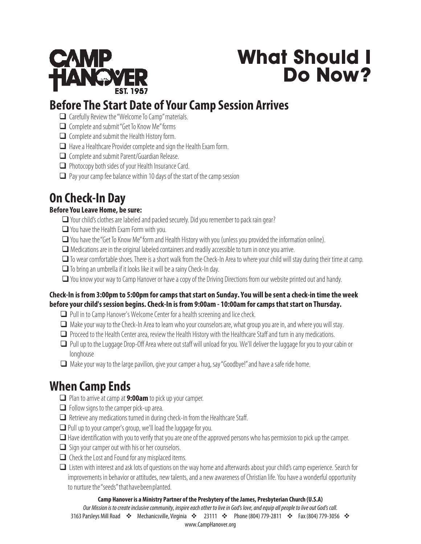

# **What Should I Do Now?**

# **Before The Start Date of Your Camp Session Arrives**

- $\Box$  Carefully Review the "Welcome To Camp" materials.
- $\Box$  Complete and submit "Get To Know Me" forms
- $\Box$  Complete and submit the Health History form.
- $\Box$  Have a Healthcare Provider complete and sign the Health Exam form.
- $\Box$  Complete and submit Parent/Guardian Release.
- $\Box$  Photocopy both sides of your Health Insurance Card.
- $\Box$  Pay your camp fee balance within 10 days of the start of the camp session

# **On Check-In Day**

#### **Before You Leave Home, be sure:**

- $\Box$  Your child's clothes are labeled and packed securely. Did you remember to pack rain gear?
- $\Box$  You have the Health Exam Form with you.
- $\Box$  You have the "Get To Know Me" form and Health History with you (unless you provided the information online).
- $\Box$  Medications are in the original labeled containers and readily accessible to turn in once you arrive.
- $\Box$  To wear comfortable shoes. There is a short walk from the Check-In Area to where your child will stay during their time at camp.
- $\Box$  To bring an umbrella if it looks like it will be a rainy Check-In day.
- $\Box$  You know your way to Camp Hanover or have a copy of the Driving Directions from our website printed out and handy.

#### **Check-In is from 3:00pm to 5:00pm for camps that start on Sunday. You will be sent a check-in time the week before your child's session begins. Check-In is from 9:00am - 10:00am for camps that start on Thursday.**

- $\Box$  Pull in to Camp Hanover's Welcome Center for a health screening and lice check.
- $\Box$  Make your way to the Check-In Area to learn who your counselors are, what group you are in, and where you will stay.
- $\Box$  Proceed to the Health Center area, review the Health History with the Healthcare Staff and turn in any medications.
- $\Box$  Pull up to the Luggage Drop-Off Area where out staff will unload for you. We'll deliver the luggage for you to your cabin or longhouse
- $\Box$  Make your way to the large pavilion, give your camper a hug, say "Goodbye!" and have a safe ride home.

## **When Camp Ends**

- **□** Plan to arrive at camp at 9:00am to pick up your camper.
- $\Box$  Follow signs to the camper pick-up area.
- $\Box$  Retrieve any medications turned in during check-in from the Healthcare Staff.
- $\Box$  Pull up to your camper's group, we'll load the luggage for you.
- $\Box$  Have identification with you to verify that you are one of the approved persons who has permission to pick up the camper.
- $\Box$  Sign your camper out with his or her counselors.
- $\Box$  Check the Lost and Found for any misplaced items.
- $\Box$  Listen with interest and ask lots of questions on the way home and afterwards about your child's camp experience. Search for improvements in behavior or attitudes, new talents, and a new awareness of Christian life. You have a wonderful opportunity to nurture the "seeds" that have been planted.

#### **Camp Hanover is a Ministry Partner of the Presbytery of the James, Presbyterian Church (U.S.A)**

*Our Mission is t*o create inclusive community, inspire each other to live in God's love, and equip all people to live out God's call. 3163 Parsleys Mill Road  $\cdot$  Mechanicsville, Virginia  $\cdot$  23111  $\cdot$  Phone (804) 779-2811  $\cdot$  Fax (804) 779-3056  $\cdot$ www.CampHanover.org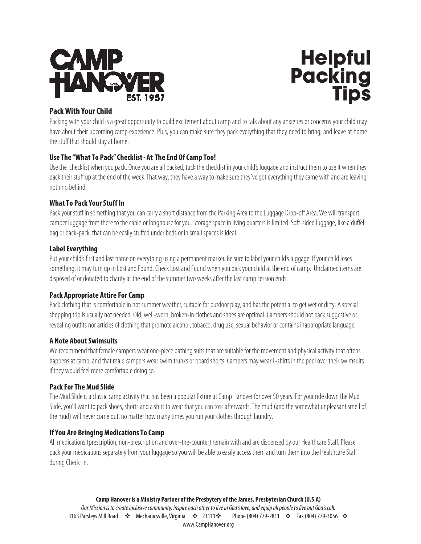



#### **Pack With Your Child**

Packing with your child is a great opportunity to build excitement about camp and to talk about any anxieties or concerns your child may have about their upcoming camp experience. Plus, you can make sure they pack everything that they need to bring, and leave at home the stuff that should stay at home.

#### **Use The "What To Pack" Checklist - At The End Of Camp Too!**

Use the checklist when you pack. Once you are all packed, tuck the checklist in your child's luggage and instruct them to use it when they pack their stuff up at the end of the week. That way, they have a way to make sure they've got everything they came with and are leaving nothing behind.

#### **What To Pack Your Stuff In**

Pack your stuff in something that you can carry a short distance from the Parking Area to the Luggage Drop-off Area. We will transport camper luggage from there to the cabin or longhouse for you. Storage space in living quarters is limited. Soft-sided luggage, like a duffel bag or back-pack, that can be easily stuffed under beds or in small spaces is ideal.

#### **Label Everything**

Put your child's first and last name on everything using a permanent marker. Be sure to label your child's luggage. If your child loses something, it may turn up in Lost and Found. Check Lost and Found when you pick your child at the end of camp. Unclaimed items are disposed of or donated to charity at the end of the summer two weeks after the last camp session ends.

#### **Pack Appropriate Attire For Camp**

Pack clothing that is comfortable in hot summer weather, suitable for outdoor play, and has the potential to get wet or dirty. A special shopping trip is usually not needed. Old, well-worn, broken-in clothes and shoes are optimal. Campers should not pack suggestive or revealing outfits nor articles of clothing that promote alcohol, tobacco, drug use, sexual behavior or contains inappropriate language.

#### **A Note About Swimsuits**

We recommend that female campers wear one-piece bathing suits that are suitable for the movement and physical activity that oftens happens at camp, and that male campers wear swim trunks or board shorts. Campers may wear T-shirts in the pool over their swimsuits if they would feel more comfortable doing so.

#### **Pack For The Mud Slide**

The Mud Slide is a classic camp activity that has been a popular fixture at Camp Hanover for over 50 years. For your ride down the Mud Slide, you'll want to pack shoes, shorts and a shirt to wear that you can toss afterwards. The mud (and the somewhat unpleasant smell of the mud) will never come out, no matter how many times you run your clothes through laundry.

#### **If You Are Bringing Medications To Camp**

All medications (prescription, non-prescription and over-the-counter) remain with and are dispensed by our Healthcare Staff. Please pack your medications separately from your luggage so you will be able to easily access them and turn them into the Healthcare Staff during Check-In.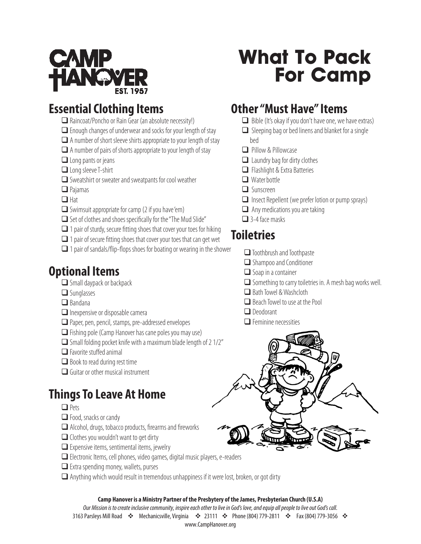

## **Essential Clothing Items**

- $\Box$  Raincoat/Poncho or Rain Gear (an absolute necessity!)
- $\Box$  Enough changes of underwear and socks for your length of stay
- $\Box$  A number of short sleeve shirts appropriate to your length of stay
- $\Box$  A number of pairs of shorts appropriate to your length of stay
- $\Box$  Long pants or jeans
- $\Box$  Long sleeve T-shirt
- $\Box$  Sweatshirt or sweater and sweatpants for cool weather
- $\Box$  Pajamas
- $\Box$  Hat
- $\Box$  Swimsuit appropriate for camp (2 if you have 'em)
- $\Box$  Set of clothes and shoes specifically for the "The Mud Slide"
- $\Box$  1 pair of sturdy, secure fitting shoes that cover your toes for hiking
- $\Box$  1 pair of secure fitting shoes that cover your toes that can get wet
- $\Box$  1 pair of sandals/flip-flops shoes for boating or wearing in the shower

## **Optional Items**

- $\Box$  Small daypack or backpack
- $\Box$  Sunglasses
- $\Box$  Bandana
- $\Box$  Inexpensive or disposable camera
- $\Box$  Paper, pen, pencil, stamps, pre-addressed envelopes
- $\Box$  Fishing pole (Camp Hanover has cane poles you may use)
- $\Box$  Small folding pocket knife with a maximum blade length of 2 1/2"
- $\Box$  Favorite stuffed animal
- $\Box$  Book to read during rest time
- $\Box$  Guitar or other musical instrument

# **Things To Leave At Home**

- $\Box$  Pets
- $\Box$  Food, snacks or candy
- $\Box$  Alcohol, drugs, tobacco products, firearms and fireworks
- $\Box$  Clothes you wouldn't want to get dirty
- $\Box$  Expensive items, sentimental items, jewelry
- □ Electronic Items, cell phones, video games, digital music players, e-readers
- $\Box$  Extra spending money, wallets, purses
- $\Box$  Anything which would result in tremendous unhappiness if it were lost, broken, or got dirty

#### **Camp Hanover is a Ministry Partner of the Presbytery of the James, Presbyterian Church (U.S.A)**

Our Mission is to create inclusive community, inspire each other to live in God's love, and equip all people to live out God's call. 3163 Parsleys Mill Road  $\cdot$  Mechanicsville, Virginia  $\cdot$  23111  $\cdot$  Phone (804) 779-2811  $\cdot$  Fax (804) 779-3056  $\cdot$ www.CampHanover.org

# **What To Pack For Camp**

## **Other "Must Have" Items**

- $\Box$  Bible (It's okay if you don't have one, we have extras)
- $\Box$  Sleeping bag or bed linens and blanket for a single bed
- $\Box$  Pillow & Pillowcase
- $\Box$  Laundry bag for dirty clothes
- $\Box$  Flashlight & Extra Batteries
- $\Box$  Water bottle
- $\Box$  Sunscreen
- $\Box$  Insect Repellent (we prefer lotion or pump sprays)
- $\Box$  Any medications you are taking
- $\Box$  3-4 face masks

# **Toiletries**

- $\Box$  Toothbrush and Toothpaste
- $\Box$  Shampoo and Conditioner
- $\Box$  Soap in a container
- $\Box$  Something to carry toiletries in. A mesh bag works well.
- $\Box$  Bath Towel & Washcloth
- $\Box$  Beach Towel to use at the Pool
- $\Box$  Deodorant
- $\Box$  Feminine necessities

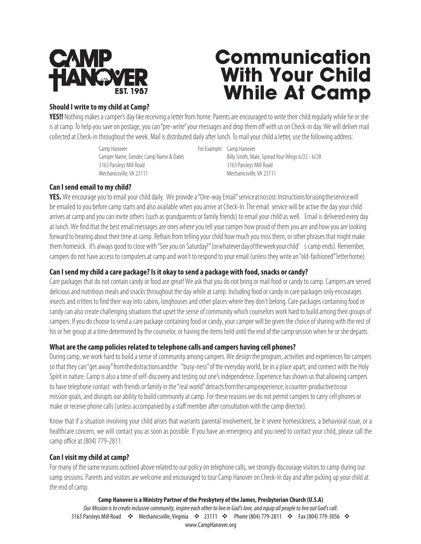

# **Communication With Your Child While At Camp**

#### **Should I write to my child at Camp?**

**YES!!** Nothing makes a camper's day like receiving a letter from home. Parents are encouraged to write their child regularly while he or she is at camp. To help you save on postage, you can "pre-write" your messages and drop them off with us on Check-in day. We will deliver mail collected at Check-in throughout the week. Mail is distributed daily after lunch. To mail your child a letter, use the following address:

> Camp Hanover **For Example: Camp Hanover** For Example: Camp Hanover Camper Name, Gender, Camp Name & Dates Billy Smith, Male, Spread Your Wings 6/22 - 6/28 3163 Parsleys Mill Road 3163 Parsleys Mill Road Mechanicsville, VA 23111 Mechanicsville, VA 23111

#### **Can I send email to my child?**

**YES.** We encourage you to email your child daily. We provide a "One-way Email" service at no cost. Instructions for using the service will be emailed to you before camp starts and also available when you arrive at Check-In. The email service will be active the day your child arrives at camp and you can invite others (such as grandparents or family friends) to email your child as well. Email is delivered every day at lunch. We find that the best email messages are ones where you tell your camper how proud of them you are and how you are looking forward to hearing about their time at camp. Refrain from telling your child how much you miss them, or other phrases that might make them homesick. It's always good to close with "See you on Saturday!" (or whatever day of the week your child' s camp ends). Remember, campers do not have access to computers at camp and won't to respond to your email (unless they write an "old-fashioned" letter home).

#### **Can I send my child a care package? Is it okay to send a package with food, snacks or candy?**

Care packages that do not contain candy or food are great! We ask that you do not bring or mail food or candy to camp. Campers are served delicious and nutritious meals and snacks throughout the day while at camp. Including food or candy in care packages only encourages insects and critters to find their way into cabins, longhouses and other places where they don't belong. Care packages containing food or candy can also create challenging situations that upset the sense of community which counselors work hard to build among their groups of campers. If you do choose to send a care package containing food or candy, your camper will be given the choice of sharing with the rest of his or her group at a time determined by the counselor, or having the items held until the end of the camp session when he or she departs.

#### **What are the camp policies related to telephone calls and campers having cell phones?**

During camp, we work hard to build a sense of community among campers. We design the program, activities and experiences for campers so that they can "get away" from the distractions and the "busy-ness" of the everyday world, be in a place apart, and connect with the Holy Spirit in nature. Camp is also a time of self-discovery and testing out one's independence. Experience has shown us that allowing campers to have telephone contact with friends or family in the "real world" detracts from the camp experience, is counter-productive to our mission goals, and disrupts our ability to build community at camp. For these reasons we do not permit campers to carry cell phones or make or receive phone calls (unless accompanied by a staff member after consultation with the camp director).

Know that if a situation involving your child arises that warrants parental involvement, be it severe homesickness, a behavioral issue, or a healthcare concern, we will contact you as soon as possible. If you have an emergency and you need to contact your child, please call the camp office at (804) 779-2811.

#### **Can I visit my child at camp?**

For many of the same reasons outlined above related to our policy on telephone calls, we strongly discourage visitors to camp during our camp sessions. Parents and visitors are welcome and encouraged to tour Camp Hanover on Check-In day and after picking up your child at the end of camp.

**Camp Hanover is a Ministry Partner of the Presbytery of the James, Presbyterian Church (U.S.A)** Our Mission is to create inclusive community, inspire each other to live in God's love, and equip all people to live out God's call. 3163 Parsleys Mill Road  $\cdot$  Mechanicsville, Virginia  $\cdot$  23111  $\cdot$  Phone (804) 779-2811  $\cdot$  Fax (804) 779-3056  $\cdot$ www.CampHanover.org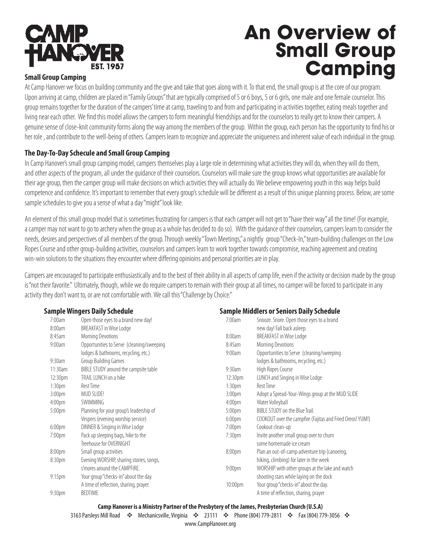

# **An Overview of Small Group Small Group Camping**

At Camp Hanover we focus on building community and the give and take that goes along with it. To that end, the small group is at the core of our program. Upon arriving at camp, children are placed in "Family Groups" that are typically comprised of 5 or 6 boys, 5 or 6 girls, one male and one female counselor. This group remains together for the duration of the campers' time at camp, traveling to and from and participating in activities together, eating meals together and living near each other. We find this model allows the campers to form meaningful friendships and for the counselors to really get to know their campers. A genuine sense of close-knit community forms along the way among the members of the group. Within the group, each person has the opportunity to find his or her role , and contribute to the well-being of others. Campers learn to recognize and appreciate the uniqueness and inherent value of each indvidual in the group.

#### **The Day-To-Day Schecule and Small Group Camping**

In Camp Hanover's small group camping model, campers themselves play a large role in determining what activities they will do, when they will do them, and other aspects of the program, all under the guidance of their counselors. Counselors will make sure the group knows what opportunities are available for their age group, then the camper group will make decisions on which activities they will actually do. We believe empowering youth in this way helps build competence and confidence. It's important to remember that every group's schedule will be different as a result of this unique planning process. Below, are some sample schedules to give you a sense of what a day "might" look like.

An element of this small group model that is sometimes frustrating for campers is that each camper will not get to "have their way" all the time! (For example, a camper may not want to go to archery when the group as a whole has decided to do so). With the guidance of their counselors, campers learn to consider the needs, desires and perspectives of all members of the group. Through weekly "Town Meetings," a nightly group "Check-In," team-building challenges on the Low Ropes Course and other group-building activities, counselors and campers learn to work together towards compromise, reaching agreement and creating win-win solutions to the situations they encounter where differing opinioins and personal priorities are in play.

Campers are encouraged to participate enthusiastically and to the best of their ability in all aspects of camp life, even if the activity or decision made by the group is "not their favorite." Ultimately, though, while we do require campers to remain with their group at all times, no camper will be forced to participate in any activity they don't want to, or are not comfortable with. We call this "Challenge by Choice."

**Sample Middlers or Seniors Daily Schedule**

#### **Sample Wingers Daily Schedule**

| allipie Willyers Dally Scheuule |                                           | <b>Sample Middlers of Seniors Dany Scredule</b> |                                                           |
|---------------------------------|-------------------------------------------|-------------------------------------------------|-----------------------------------------------------------|
| 7:00am                          | Open those eyes to a brand new day!       | 7:00am                                          | Snooze. Snore. Open those eyes to a brand                 |
| 8:00am                          | BREAKFAST in Wise Lodge                   |                                                 | new day! Fall back asleep.                                |
| 8:45am                          | Morning Devotions                         | 8:00am                                          | BREAKFAST in Wise Lodge                                   |
| 9:00am                          | Opportunities to Serve (cleaning/sweeping | 8:45am                                          | Morning Devotions                                         |
|                                 | lodges & bathrooms, recycling, etc.)      | 9:00am                                          | Opportunities to Serve (cleaning/sweeping                 |
| 9:30am                          | Group Building Games                      |                                                 | lodges & bathrooms, recycling, etc.)                      |
| 11:30am                         | BIBLE STUDY around the campsite table     | 9:30am                                          | High Ropes Course                                         |
| 12:30pm                         | TRAIL LUNCH on a hike                     | 12:30pm                                         | LUNCH and Singing in Wise Lodge                           |
| 1:30pm                          | Rest Time                                 | 1:30 <sub>pm</sub>                              | Rest Time                                                 |
| 3:00pm                          | MUD SLIDE!                                | 3:00 <sub>pm</sub>                              | Adopt a Spread-Your-Wings group at the MUD SLIDE          |
| 4:00 <sub>pm</sub>              | SWIMMING                                  | 4:00 <sub>pm</sub>                              | Water Volleyball                                          |
| 5:00pm                          | Planning for your group's leadership of   | 5:00 <sub>pm</sub>                              | BIBLE STUDY on the Blue Trail.                            |
|                                 | Vespers (evening worship service)         | 6:00 <sub>pm</sub>                              | COOKOUT over the campfire (Fajitas and Fried Oreos! YUM!) |
| 6:00 <sub>pm</sub>              | DINNER & Singing in Wise Lodge            | 7:00pm                                          | Cookout clean-up                                          |
| 7:00pm                          | Pack up sleeping bags, hike to the        | 7:30 <sub>pm</sub>                              | Invite another small group over to churn                  |
|                                 | Treehouse for OVERNIGHT                   |                                                 | some homemade ice cream                                   |
| 8:00pm                          | Small group activities                    | 8:00pm                                          | Plan an out-of-camp adventure trip (canoeing,             |
| 8:30pm                          | Evening WORSHIP, sharing stories, songs,  |                                                 | hiking, climbing) for later in the week                   |
|                                 | s'mores around the CAMPFIRE.              | 9:00 <sub>pm</sub>                              | WORSHIP with other groups at the lake and watch           |
| 9:15 <sub>pm</sub>              | Your group "checks-in" about the day.     |                                                 | shooting stars while laying on the dock                   |
|                                 | A time of reflection, sharing, prayer.    | 10:00pm                                         | Your group "checks-in" about the day.                     |
| 9:30 <sub>pm</sub>              | <b>BEDTIME</b>                            |                                                 | A time of reflection, sharing, prayer                     |

#### **Camp Hanover is a Ministry Partner of the Presbytery of the James, Presbyterian Church (U.S.A)**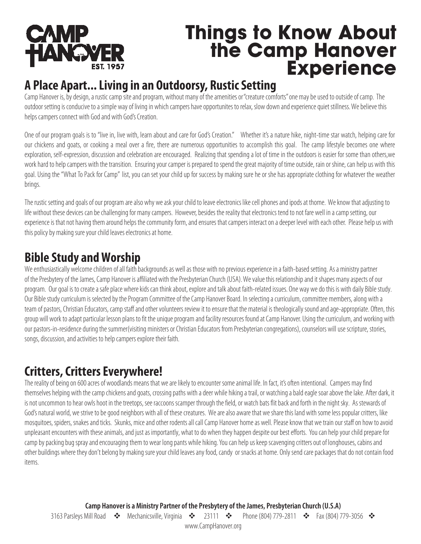

# **Things to Know About the Camp Hanover Experience**

## **A Place Apart... Living in an Outdoorsy, Rustic Setting**

Camp Hanover is, by design, a rustic camp site and program, without many of the amenities or "creature comforts" one may be used to outside of camp. The outdoor setting is conducive to a simple way of living in which campers have opportunites to relax, slow down and experience quiet stillness. We believe this helps campers connect with God and with God's Creation.

One of our program goals is to "live in, live with, learn about and care for God's Creation." Whether it's a nature hike, night-time star watch, helping care for our chickens and goats, or cooking a meal over a fire, there are numerous opportunities to accomplish this goal. The camp lifestyle becomes one where exploration, self-expression, discussion and celebration are encouraged. Realizing that spending a lot of time in the outdoors is easier for some than others,we work hard to help campers with the transition. Ensuring your camper is prepared to spend the great majority of time outside, rain or shine, can help us with this goal. Using the "What To Pack for Camp" list, you can set your child up for success by making sure he or she has appropriate clothing for whatever the weather brings.

The rustic setting and goals of our program are also why we ask your child to leave electronics like cell phones and ipods at thome. We know that adjusting to life without these devices can be challenging for many campers. However, besides the reality that electronics tend to not fare well in a camp setting, our experience is that not having them around helps the community form, and ensures that campers interact on a deeper level with each other. Please help us with this policy by making sure your child leaves electronics at home.

# **Bible Study and Worship**

We enthusiastically welcome children of all faith backgrounds as well as those with no previous experience in a faith-based setting. As a ministry partner of the Presbytery of the James, Camp Hanover is affiliated with the Presbyterian Church (USA). We value this relationship and it shapes many aspects of our program. Our goal is to create a safe place where kids can think about, explore and talk about faith-related issues. One way we do this is with daily Bible study. Our Bible study curriculum is selected by the Program Committee of the Camp Hanover Board. In selecting a curriculum, committee members, along with a team of pastors, Christian Educators, camp staff and other volunteers review it to ensure that the material is theologically sound and age-appropriate. Often, this group will work to adapt particular lesson plans to fit the unique program and facility resources found at Camp Hanover. Using the curriculum, and working with our pastors-in-residence during the summer(visiting ministers or Christian Educators from Presbyterian congregations), counselors will use scripture, stories, songs, discussion, and activities to help campers explore their faith.

# **Critters, Critters Everywhere!**

The reality of being on 600 acres of woodlands means that we are likely to encounter some animal life. In fact, it's often intentional. Campers may find themselves helping with the camp chickens and goats, crossing paths with a deer while hiking a trail, or watching a bald eagle soar above the lake. After dark, it is not uncommon to hear owls hoot in the treetops, see raccoons scamper through the field, or watch bats flit back and forth in the night sky. As stewards of God's natural world, we strive to be good neighbors with all of these creatures. We are also aware that we share this land with some less popular critters, like mosquitoes, spiders, snakes and ticks. Skunks, mice and other rodents all call Camp Hanover home as well. Please know that we train our staff on how to avoid unpleasant encounters with these animals, and just as importantly, what to do when they happen despite our best efforts. You can help your child prepare for camp by packing bug spray and encouraging them to wear long pants while hiking. You can help us keep scavenging critters out of longhouses, cabins and other buildings where they don't belong by making sure your child leaves any food, candy or snacks at home. Only send care packages that do not contain food items.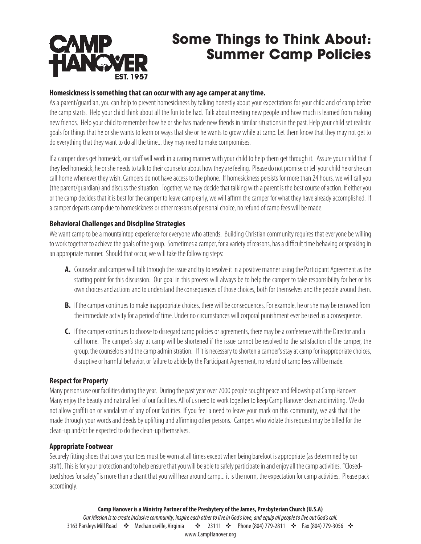# **CAMP<br>HANGVER**

# **Some Things to Think About: Summer Camp Policies**

#### **Homesickness is something that can occur with any age camper at any time.**

As a parent/guardian, you can help to prevent homesickness by talking honestly about your expectations for your child and of camp before the camp starts. Help your child think about all the fun to be had. Talk about meeting new people and how much is learned from making new friends. Help your child to remember how he or she has made new friends in similar situations in the past. Help your child set realistic goals for things that he or she wants to learn or ways that she or he wants to grow while at camp. Let them know that they may not get to do everything that they want to do all the time... they may need to make compromises.

If a camper does get homesick, our staff will work in a caring manner with your child to help them get through it. Assure your child that if they feel homesick, he or she needs to talk to their counselor about how they are feeling. Please do not promise or tell your child he or she can call home whenever they wish. Campers do not have access to the phone. If homesickness persists for more than 24 hours, we will call you (the parent/guardian) and discuss the situation. Together, we may decide that talking with a parent is the best course of action. If either you or the camp decides that it is best for the camper to leave camp early, we will affirm the camper for what they have already accomplished. If a camper departs camp due to homesickness or other reasons of personal choice, no refund of camp fees will be made.

#### **Behavioral Challenges and Discipline Strategies**

We want camp to be a mountaintop experience for everyone who attends. Building Christian community requires that everyone be willing to work together to achieve the goals of the group. Sometimes a camper, for a variety of reasons, has a difficult time behaving or speaking in an appropriate manner. Should that occur, we will take the following steps:

- **A.** Counselor and camper will talk through the issue and try to resolve it in a positive manner using the Participant Agreement as the starting point for this discussion. Our goal in this process will always be to help the camper to take responsibility for her or his own choices and actions and to understand the consequences of those choices, both for themselves and the people around them.
- **B.** If the camper continues to make inappropriate choices, there will be consequences, For example, he or she may be removed from the immediate activity for a period of time. Under no circumstances will corporal punishment ever be used as a consequence.
- **C.** If the camper continues to choose to disregard camp policies or agreements, there may be a conference with the Director and a call home. The camper's stay at camp will be shortened if the issue cannot be resolved to the satisfaction of the camper, the group, the counselors and the camp administration. If it is necessary to shorten a camper's stay at camp for inappropriate choices, disruptive or harmful behavior, or failure to abide by the Participant Agreement, no refund of camp fees will be made.

#### **Respect for Property**

Many persons use our facilities during the year. During the past year over 7000 people sought peace and fellowship at Camp Hanover. Many enjoy the beauty and natural feel of our facilities. All of us need to work together to keep Camp Hanover clean and inviting. We do not allow graffiti on or vandalism of any of our facilities. If you feel a need to leave your mark on this community, we ask that it be made through your words and deeds by uplifting and affirming other persons. Campers who violate this request may be billed for the clean-up and/or be expected to do the clean-up themselves.

#### **Appropriate Footwear**

Securely fitting shoes that cover your toes must be worn at all times except when being barefoot is appropriate (as determined byour staff). This is for your protection and to help ensure that you will be able to safely participate in and enjoy all the camp activities. "Closedtoed shoes for safety" is more than a chant that you will hear around camp... it is the norm, the expectation for camp activities. Please pack accordingly.